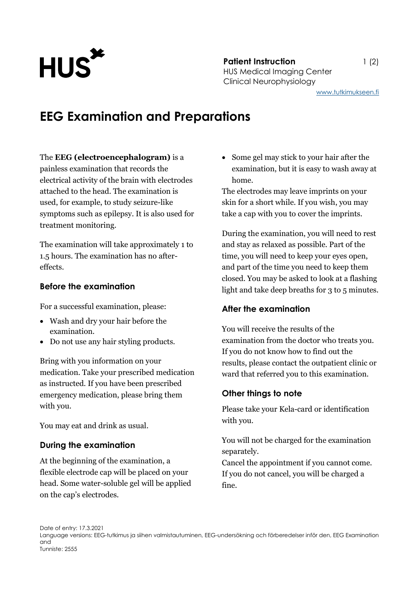

# **EEG Examination and Preparations**

#### The **EEG (electroencephalogram)** is a

painless examination that records the electrical activity of the brain with electrodes attached to the head. The examination is used, for example, to study seizure-like symptoms such as epilepsy. It is also used for treatment monitoring.

The examination will take approximately 1 to 1.5 hours. The examination has no aftereffects.

## **Before the examination**

For a successful examination, please:

- Wash and dry your hair before the examination.
- Do not use any hair styling products.

Bring with you information on your medication. Take your prescribed medication as instructed. If you have been prescribed emergency medication, please bring them with you.

You may eat and drink as usual.

## **During the examination**

At the beginning of the examination, a flexible electrode cap will be placed on your head. Some water-soluble gel will be applied on the cap's electrodes.

 Some gel may stick to your hair after the examination, but it is easy to wash away at home.

The electrodes may leave imprints on your skin for a short while. If you wish, you may take a cap with you to cover the imprints.

During the examination, you will need to rest and stay as relaxed as possible. Part of the time, you will need to keep your eyes open, and part of the time you need to keep them closed. You may be asked to look at a flashing light and take deep breaths for 3 to 5 minutes.

#### **After the examination**

You will receive the results of the examination from the doctor who treats you. If you do not know how to find out the results, please contact the outpatient clinic or ward that referred you to this examination.

## **Other things to note**

Please take your Kela-card or identification with you.

You will not be charged for the examination separately.

Cancel the appointment if you cannot come. If you do not cancel, you will be charged a fine.

Date of entry: 17.3.2021 Language versions: EEG-tutkimus ja siihen valmistautuminen, EEG-undersökning och förberedelser inför den, EEG Examination and Tunniste: 2555